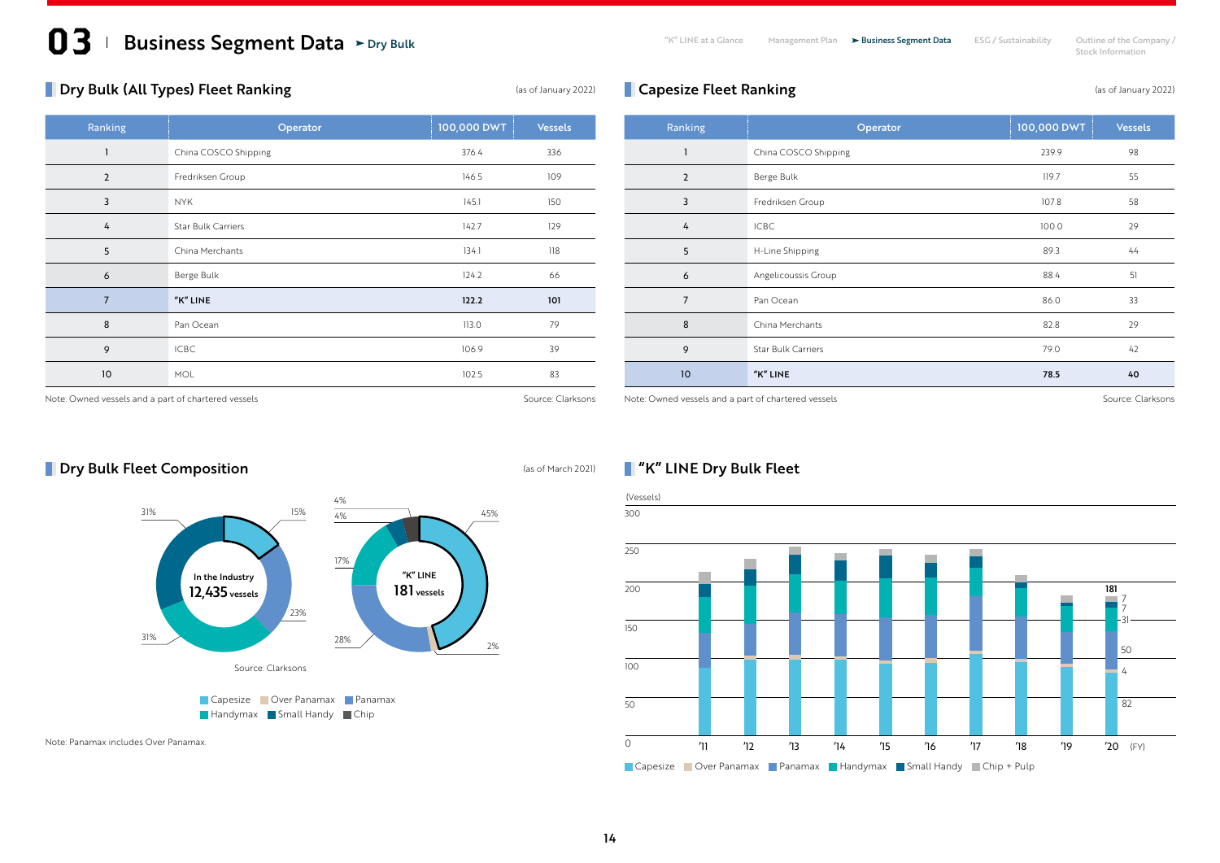# **13 Business Segment Data** > Dry Bulk The State Company / The at a Glance Management Plan > Business Segment Data ESG / Sustainability Outline of the Company /

Stock Information Dry Bulk and Stock Information Dry Business Segment Data ESG / Sustainability Ultilne of the Cor<br>Stock Information

## **Dry Bulk (All Types) Fleet Ranking Constanting** (as of January 2022)

| Ranking        | Operator                  | 100,000 DWT | <b>Vessels</b> |
|----------------|---------------------------|-------------|----------------|
| 1              | China COSCO Shipping      | 376.4       | 336            |
| $\overline{2}$ | Fredriksen Group          | 146.5       | 109            |
| 3              | <b>NYK</b>                | 145.1       | 150            |
| 4              | <b>Star Bulk Carriers</b> | 142.7       | 129            |
| 5              | China Merchants           | 134.1       | 118            |
| 6              | Berge Bulk                | 124.2       | 66             |
| $\overline{7}$ | "K" LINE                  | 122.2       | 101            |
| 8              | Pan Ocean                 | 113.0       | 79             |
| 9              | <b>ICBC</b>               | 106.9       | 39             |
| 10             | MOL                       | 102.5       | 83             |

| Ranking        | Operator                  | 100,000 DWT | <b>Vessels</b> |
|----------------|---------------------------|-------------|----------------|
| 1              | China COSCO Shipping      | 239.9       | 98             |
| $\overline{2}$ | Berge Bulk                | 119.7       | 55             |
| 3              | Fredriksen Group          | 107.8       | 58             |
| 4              | <b>ICBC</b>               | 100.0       | 29             |
| 5              | H-Line Shipping           | 89.3        | 44             |
| 6              | Angelicoussis Group       | 88.4        | 51             |
| $\overline{7}$ | Pan Ocean                 | 86.0        | 33             |
| 8              | China Merchants           | 82.8        | 29             |
| 9              | <b>Star Bulk Carriers</b> | 79.0        | 42             |
| 10             | "K" LINE                  | 78.5        | 40             |

**Capesize Fleet Ranking Capesize Fleet Ranking Capesize Fleet Ranking** 

Note: Owned vessels and a part of chartered vessels Source: Clarksons Source: Clarksons

Note: Owned vessels and a part of chartered vessels Source: Clarksons Source: Clarksons

# **Dry Bulk Fleet Composition** (as of March 2021)





Note: Panamax includes Over Panamax.

#### **N** "K" LINE Dry Bulk Fleet

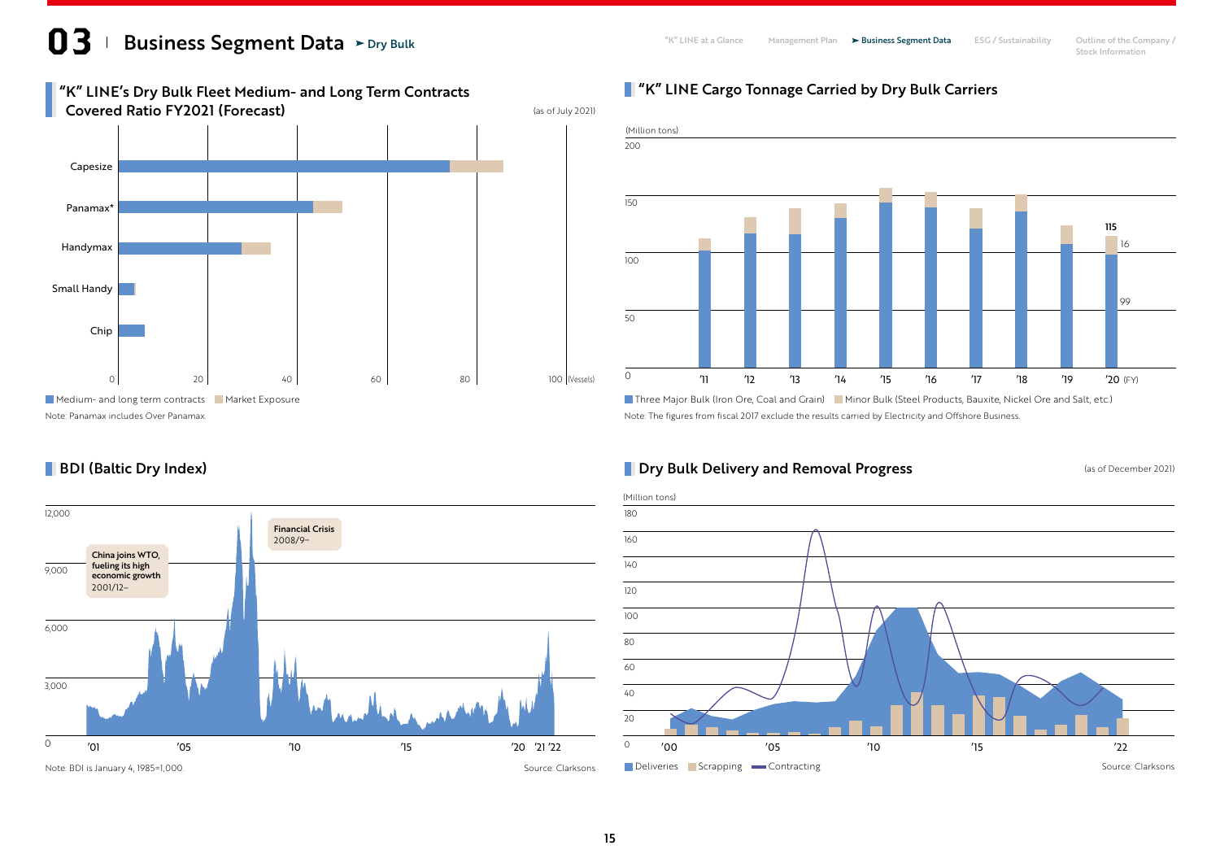### **13 Business Segment Data** > Dry Bulk **Company / Sustainability Cultine of the Company /** The at a Glance Management Plan > Business Segment Data ESG / Sustainability Outline of the Company / Stock Information Dry Bulk

**BDI (Baltic Dry Index)** 



#### **T** "K" LINE Cargo Tonnage Carried by Dry Bulk Carriers



Three Major Bulk (Iron Ore, Coal and Grain) Minor Bulk (Steel Products, Bauxite, Nickel Ore and Salt, etc.)

#### **Dry Bulk Delivery and Removal Progress** (as of December 2021)